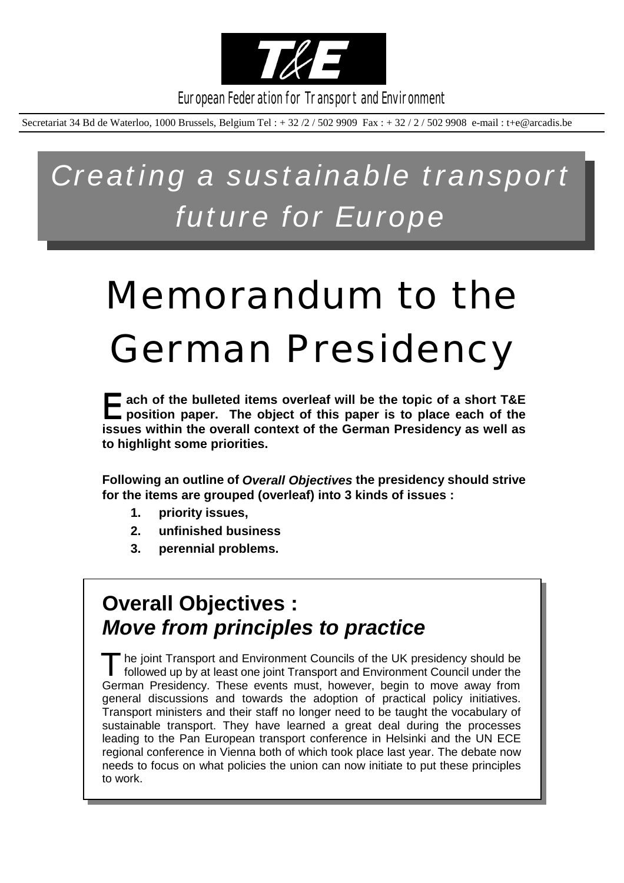

European Federation for Transport and Environment

Secretariat 34 Bd de Waterloo, 1000 Brussels, Belgium Tel : + 32 /2 / 502 9909 Fax : + 32 / 2 / 502 9908 e-mail : t+e@arcadis.be

*Creating a sustainable transport future for Europe*

# Memorandum to the German Presidency

E**ach of the bulleted items overleaf will be the topic of a short T&E position paper. The object of this paper is to place each of the issues within the overall context of the German Presidency as well as to highlight some priorities.**

**Following an outline of** *Overall Objectives* **the presidency should strive for the items are grouped (overleaf) into 3 kinds of issues :**

- **1. priority issues,**
- **2. unfinished business**
- **3. perennial problems.**

## **Overall Objectives :** *Move from principles to practice*

The joint Transport and Environment Councils of the UK presidency should be followed up by at least one joint Transport and Environment Council under the German Presidency. These events must, however, begin to move away from general discussions and towards the adoption of practical policy initiatives. Transport ministers and their staff no longer need to be taught the vocabulary of sustainable transport. They have learned a great deal during the processes leading to the Pan European transport conference in Helsinki and the UN ECE regional conference in Vienna both of which took place last year. The debate now needs to focus on what policies the union can now initiate to put these principles to work.